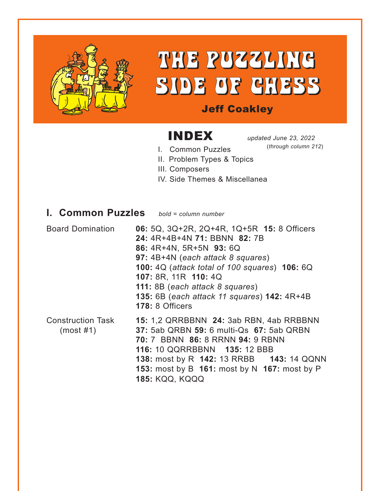

# THE PUZZLING SIDE OF CHESS

#### Jeff Coakley

# INDEX *updated June 23, 2022*

(*through column 212*)

- I. Common Puzzles II. Problem Types & Topics
- III. Composers
- IV. Side Themes & Miscellanea

#### **I. Common Puzzles** *bold = column number*

Board Domination **06:** 5Q, 3Q+2R, 2Q+4R, 1Q+5R **15:** 8 Officers **24:** 4R+4B+4N **71:** BBNN **82:** 7B **86:** 4R+4N, 5R+5N **93:** 6Q **97:** 4B+4N (*each attack 8 squares*) **100:** 4Q (*attack total of 100 squares*) **106:** 6Q **107:** 8R, 11R **110:** 4Q **111:** 8B (*each attack 8 squares*) **135:** 6B (*each attack 11 squares*) **142:** 4R+4B **178:** 8 Officers Construction Task **15:** 1,2 QRRBBNN **24:** 3ab RBN, 4ab RRBBNN (most #1) **37:** 5ab QRBN **59:** 6 multi-Qs **67:** 5ab QRBN **70:** 7 BBNN **86:** 8 RRNN **94:** 9 RBNN **116:** 10 QQRRBBNN **135:** 12 BBB **138:** most by R **142:** 13 RRBB **143:** 14 QQNN **153:** most by B **161:** most by N **167:** most by P **185:** KQQ, KQQQ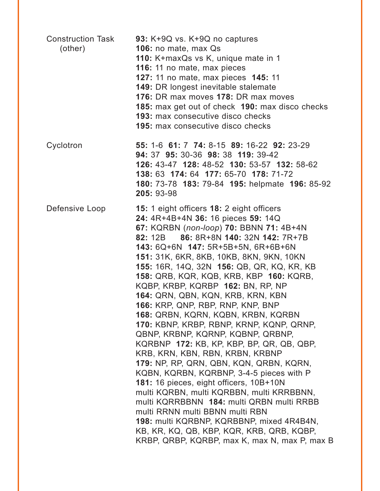| <b>Construction Task</b><br>(other) | 93: K+9Q vs. K+9Q no captures<br>106: no mate, max Qs<br>110: K+maxQs vs K, unique mate in 1<br>116: 11 no mate, max pieces<br>127: 11 no mate, max pieces 145: 11<br><b>149: DR longest inevitable stalemate</b><br>176: DR max moves 178: DR max moves<br>185: max get out of check 190: max disco checks<br><b>193: max consecutive disco checks</b><br><b>195:</b> max consecutive disco checks                                                                                                                                                                                                                                                                                                                                                                                                                                                                                                                                                                                                                                                                                   |
|-------------------------------------|---------------------------------------------------------------------------------------------------------------------------------------------------------------------------------------------------------------------------------------------------------------------------------------------------------------------------------------------------------------------------------------------------------------------------------------------------------------------------------------------------------------------------------------------------------------------------------------------------------------------------------------------------------------------------------------------------------------------------------------------------------------------------------------------------------------------------------------------------------------------------------------------------------------------------------------------------------------------------------------------------------------------------------------------------------------------------------------|
| Cyclotron                           | 55: 1-6 61: 7 74: 8-15 89: 16-22 92: 23-29<br>94: 37 95: 30-36 98: 38 119: 39-42<br>126: 43-47 128: 48-52 130: 53-57 132: 58-62<br>138: 63 174: 64 177: 65-70 178: 71-72<br>180: 73-78 183: 79-84 195: helpmate 196: 85-92<br>205: 93-98                                                                                                                                                                                                                                                                                                                                                                                                                                                                                                                                                                                                                                                                                                                                                                                                                                              |
| Defensive Loop                      | 15: 1 eight officers 18: 2 eight officers<br>24: 4R+4B+4N 36: 16 pieces 59: 14Q<br>67: KQRBN (non-loop) 70: BBNN 71: 4B+4N<br>82: 12B 86: 8R+8N 140: 32N 142: 7R+7B<br>143: 6Q+6N 147: 5R+5B+5N, 6R+6B+6N<br><b>151: 31K, 6KR, 8KB, 10KB, 8KN, 9KN, 10KN</b><br>155: 16R, 14Q, 32N 156: QB, QR, KQ, KR, KB<br>158: QRB, KQR, KQB, KRB, KBP 160: KQRB,<br>KQBP, KRBP, KQRBP 162: BN, RP, NP<br>164: QRN, QBN, KQN, KRB, KRN, KBN<br>166: KRP, QNP, RBP, RNP, KNP, BNP<br>168: QRBN, KQRN, KQBN, KRBN, KQRBN<br>170: KBNP, KRBP, RBNP, KRNP, KQNP, QRNP,<br>QBNP, KRBNP, KQRNP, KQBNP, QRBNP,<br>KQRBNP 172: KB, KP, KBP, BP, QR, QB, QBP,<br>KRB, KRN, KBN, RBN, KRBN, KRBNP<br>179: NP, RP, QRN, QBN, KQN, QRBN, KQRN,<br>KQBN, KQRBN, KQRBNP, 3-4-5 pieces with P<br>181: 16 pieces, eight officers, 10B+10N<br>multi KQRBN, multi KQRBBN, multi KRRBBNN,<br>multi KQRRBBNN 184: multi QRBN multi RRBB<br>multi RRNN multi BBNN multi RBN<br>198: multi KQRBNP, KQRBBNP, mixed 4R4B4N,<br>KB, KR, KQ, QB, KBP, KQR, KRB, QRB, KQBP,<br>KRBP, QRBP, KQRBP, max K, max N, max P, max B |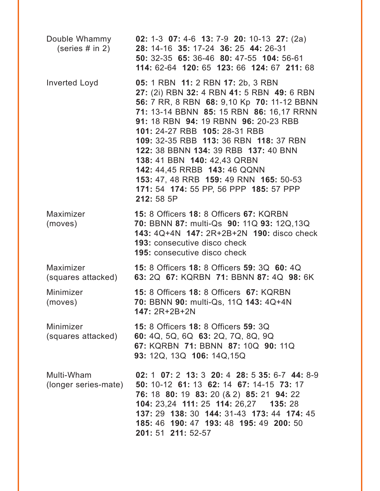| Double Whammy<br>(series $#$ in 2) | <b>02:</b> 1-3 <b>07:</b> 4-6 <b>13:</b> 7-9 <b>20:</b> 10-13 <b>27:</b> (2a)<br>28: 14-16 35: 17-24 36: 25 44: 26-31<br>50: 32-35 65: 36-46 80: 47-55 104: 56-61<br>114: 62-64 120: 65 123: 66 124: 67 211: 68                                                                                                                                                                                                                                                                                       |
|------------------------------------|-------------------------------------------------------------------------------------------------------------------------------------------------------------------------------------------------------------------------------------------------------------------------------------------------------------------------------------------------------------------------------------------------------------------------------------------------------------------------------------------------------|
| Inverted Loyd                      | 05: 1 RBN 11: 2 RBN 17: 2b, 3 RBN<br>27: (2i) RBN 32: 4 RBN 41: 5 RBN 49: 6 RBN<br>56: 7 RR, 8 RBN 68: 9,10 Kp 70: 11-12 BBNN<br>71: 13-14 BBNN 85: 15 RBN 86: 16,17 RRNN<br>91: 18 RBN 94: 19 RBNN 96: 20-23 RBB<br>101: 24-27 RBB 105: 28-31 RBB<br>109: 32-35 RBB 113: 36 RBN 118: 37 RBN<br>122: 38 BBNN 134: 39 RBB 137: 40 BNN<br>138: 41 BBN 140: 42,43 QRBN<br>142: 44,45 RRBB 143: 46 QQNN<br>153: 47, 48 RRB 159: 49 RNN 165: 50-53<br>171: 54 174: 55 PP, 56 PPP 185: 57 PPP<br>212: 58 5P |
| Maximizer<br>(moves)               | <b>15: 8 Officers 18: 8 Officers 67: KQRBN</b><br>70: BBNN 87: multi-Qs 90: 11Q 93: 12Q,13Q<br>143: 4Q+4N 147: 2R+2B+2N 190: disco check<br><b>193: consecutive disco check</b><br><b>195:</b> consecutive disco check                                                                                                                                                                                                                                                                                |
| Maximizer                          | 15: 8 Officers 18: 8 Officers 59: 3Q 60: 4Q<br>(squares attacked) 63: 2Q 67: KQRBN 71: BBNN 87: 4Q 98: 6K                                                                                                                                                                                                                                                                                                                                                                                             |
| Minimizer<br>(moves)               | 15: 8 Officers 18: 8 Officers 67: KQRBN<br>70: BBNN 90: multi-Qs, 11Q 143: 4Q+4N<br><b>147: 2R+2B+2N</b>                                                                                                                                                                                                                                                                                                                                                                                              |
| Minimizer<br>(squares attacked)    | <b>15: 8 Officers 18: 8 Officers 59: 3Q</b><br>60: 4Q, 5Q, 6Q 63: 2Q, 7Q, 8Q, 9Q<br>67: KQRBN 71: BBNN 87: 10Q 90: 11Q<br>93: 12Q, 13Q 106: 14Q, 15Q                                                                                                                                                                                                                                                                                                                                                  |
| Multi-Wham                         | 02: 1 07: 2 13: 3 20: 4 28: 5 35: 6-7 44: 8-9<br>(longer series-mate) 50: 10-12 61: 13 62: 14 67: 14-15 73: 17<br>76: 18 80: 19 83: 20 (& 2) 85: 21 94: 22<br>104: 23,24 111: 25 114: 26,27 135: 28<br>137: 29 138: 30 144: 31-43 173: 44 174: 45<br>185: 46 190: 47 193: 48 195: 49 200: 50<br>201: 51 211: 52-57                                                                                                                                                                                    |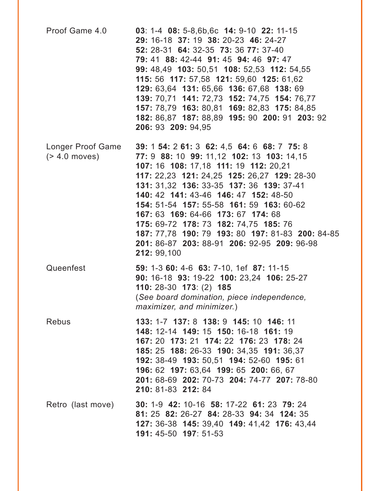| Proof Game 4.0                        | 03: 1-4 08: 5-8,6b,6c 14: 9-10 22: 11-15<br>29: 16-18 37: 19 38: 20-23 46: 24-27<br>52: 28-31 64: 32-35 73: 36 77: 37-40<br>79: 41 88: 42-44 91: 45 94: 46 97: 47<br>99: 48,49 103: 50,51 108: 52,53 112: 54,55<br>115: 56 117: 57,58 121: 59,60 125: 61,62<br>129: 63,64 131: 65,66 136: 67,68 138: 69<br>139: 70,71 141: 72,73 152: 74,75 154: 76,77<br>157: 78,79 163: 80,81 169: 82,83 175: 84,85<br>182: 86,87 187: 88,89 195: 90 200: 91 203: 92<br>206: 93 209: 94,95                                       |
|---------------------------------------|--------------------------------------------------------------------------------------------------------------------------------------------------------------------------------------------------------------------------------------------------------------------------------------------------------------------------------------------------------------------------------------------------------------------------------------------------------------------------------------------------------------------|
| Longer Proof Game<br>$($ > 4.0 moves) | 39: 1 54: 2 61: 3 62: 4,5 64: 6 68: 7 75: 8<br>77: 9 88: 10 99: 11,12 102: 13 103: 14,15<br>107: 16 108: 17,18 111: 19 112: 20,21<br>117: 22,23 121: 24,25 125: 26,27 129: 28-30<br>131: 31,32 136: 33-35 137: 36 139: 37-41<br>140: 42 141: 43-46 146: 47 152: 48-50<br>154: 51-54 157: 55-58 161: 59 163: 60-62<br>167: 63 169: 64-66 173: 67 174: 68<br>175: 69-72 178: 73 182: 74,75 185: 76<br>187: 77,78 190: 79 193: 80 197: 81-83 200: 84-85<br>201: 86-87 203: 88-91 206: 92-95 209: 96-98<br>212: 99,100 |
| Queenfest                             | 59: 1-3 60: 4-6 63: 7-10, 1ef 87: 11-15<br>90: 16-18 93: 19-22 100: 23,24 106: 25-27<br>110: 28-30 173: (2) 185<br>(See board domination, piece independence,<br>maximizer, and minimizer.)                                                                                                                                                                                                                                                                                                                        |
| <b>Rebus</b>                          | 133: 1-7 137: 8 138: 9 145: 10 146: 11<br>148: 12-14 149: 15 150: 16-18 161: 19<br>167: 20 173: 21 174: 22 176: 23 178: 24<br>185: 25 188: 26-33 190: 34.35 191: 36.37<br>192: 38-49 193: 50,51 194: 52-60 195: 61<br>196: 62 197: 63,64 199: 65 200: 66, 67<br>201: 68-69 202: 70-73 204: 74-77 207: 78-80<br>210: 81-83 212: 84                                                                                                                                                                                  |
| Retro (last move)                     | 30: 1-9 42: 10-16 58: 17-22 61: 23 79: 24<br>81: 25 82: 26-27 84: 28-33 94: 34 124: 35<br>127: 36-38 145: 39,40 149: 41,42 176: 43,44<br>191: 45-50 197: 51-53                                                                                                                                                                                                                                                                                                                                                     |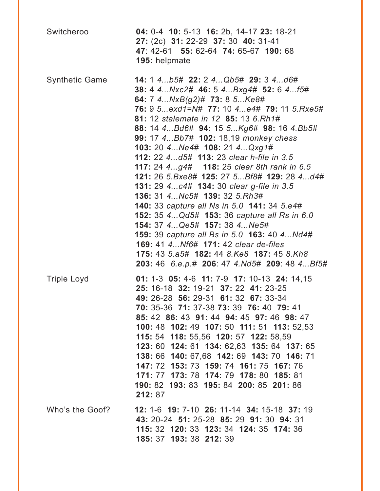| Switcheroo            | 04: 0-4 10: 5-13 16: 2b, 14-17 23: 18-21<br>27: (2c) 31: 22-29 37: 30 40: 31-41<br>47: 42-61 55: 62-64 74: 65-67 190: 68<br>195: helpmate                                                                                                                                                                                                                                                                                                                                                                                                                                                                                                                                                                                                                                                                                                                                     |
|-----------------------|-------------------------------------------------------------------------------------------------------------------------------------------------------------------------------------------------------------------------------------------------------------------------------------------------------------------------------------------------------------------------------------------------------------------------------------------------------------------------------------------------------------------------------------------------------------------------------------------------------------------------------------------------------------------------------------------------------------------------------------------------------------------------------------------------------------------------------------------------------------------------------|
| <b>Synthetic Game</b> | 14: 1 4b5# 22: 2 4Qb5# 29: 3 4d6#<br>38: 4 4 Nxc2# 46: 5 4 Bxg4# 52: 6 4 f5#<br>64: 7 4NxB(g2)# 73: 8 5Ke8#<br>76: 9 5exd1=N# 77: 10 4e4# 79: 11 5.Rxe5#<br>81: 12 stalemate in 12 85: 13 6.Rh1#<br>88: 14 4 Bd6# 94: 15 5 Kg6# 98: 16 4. Bb5#<br>99: 17 4 Bb7# 102: 18,19 monkey chess<br>103: 20 4 Ne4# 108: 21 4 Qxg1#<br>112: 22 4d5# 113: 23 clear h-file in 3.5<br>117: 24 4g4# 118: 25 clear 8th rank in 6.5<br>121: 26 5.Bxe8# 125: 27 5Bf8# 129: 28 4d4#<br>131: 29 4 c4# 134: 30 clear g-file in 3.5<br>136: 31 4 Nc5# 139: 32 5. Rh3#<br>140: 33 capture all Ns in 5.0 141: 34 5.e4#<br>152: 35 4 Qd5# 153: 36 capture all Rs in 6.0<br>154: 37 4 Qe5# 157: 38 4 Ne5#<br>159: 39 capture all Bs in 5.0 163: 40 4 Nd4#<br><b>169: 41 4 Nf6# 171: 42 clear de-files</b><br>175: 43 5.a5# 182: 44 8.Ke8 187: 45 8.Kh8<br>203: 46 6.e.p.# 206: 47 4.Nd5# 209: 48 4Bf5# |
| <b>Triple Loyd</b>    | 01: 1-3 05: 4-6 11: 7-9 17: 10-13 24: 14,15<br>25: 16-18 32: 19-21 37: 22 41: 23-25<br>49: 26-28 56: 29-31 61: 32 67: 33-34<br>70: 35-36 71: 37-38 73: 39 76: 40 79: 41<br>85: 42 86: 43 91: 44 94: 45 97: 46 98: 47<br>100: 48 102: 49 107: 50 111: 51 113: 52,53<br>115: 54 118: 55,56 120: 57 122: 58,59<br>123: 60 124: 61 134: 62,63 135: 64 137: 65<br>138: 66 140: 67,68 142: 69 143: 70 146: 71<br>147: 72 153: 73 159: 74 161: 75 167: 76<br>171: 77 173: 78 174: 79 178: 80 185: 81<br>190: 82 193: 83 195: 84 200: 85 201: 86<br>212: 87                                                                                                                                                                                                                                                                                                                           |
| Who's the Goof?       | 12: 1-6 19: 7-10 26: 11-14 34: 15-18 37: 19<br>43: 20-24 51: 25-28 85: 29 91: 30 94: 31<br>115: 32 120: 33 123: 34 124: 35 174: 36<br>185: 37 193: 38 212: 39                                                                                                                                                                                                                                                                                                                                                                                                                                                                                                                                                                                                                                                                                                                 |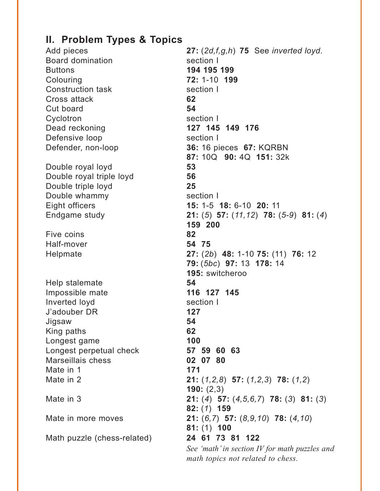### **II. Problem Types & Topics**

Add pieces **27:** (*2d,f,g,h*) **75** See *inverted loyd*. Board domination section I Buttons **194 195 199** Colouring **72:** 1-10 **199** Construction task section I Cross attack **62** Cut board **54** Cyclotron section I Dead reckoning **127 145 149 176** Defensive loop section I Defender, non-loop **36:** 16 pieces **67:** KQRBN **87:** 10Q **90:** 4Q **151:** 32k Double royal loyd **53** Double royal triple loyd **56** Double triple loyd **25** Double whammy section I Eight officers **15:** 1-5 **18:** 6-10 **20:** 11 Endgame study **21:** (*5*) **57:** (*11,12*) **78:** (*5-9*) **81:** (*4*) **159 200** Five coins **82** Half-mover **54 75** Helpmate **27:** (*2b*) **48:** 1-10 **75:** (11) **76:** 12 **79:** (*5bc*) **97:** 13 **178:** 14 **195:** switcheroo Help stalemate **54** Impossible mate **116 127 145** Inverted loyd section I J'adouber DR **127** Jigsaw **54** King paths **62** Longest game **100** Longest perpetual check **57 59 60 63** Marseillais chess **02 07 80** Mate in 1 **171** Mate in 2 **21:** (*1,2,8*) **57:** (*1,2,3*) **78:** (*1,2*) **190:** (2,3) Mate in 3 **21:** (*4*) **57:** (*4,5,6,7*) **78:** (*3*) **81:** (*3*) **82:** (*1*) **159** Mate in more moves **21:** (*6,7*) **57:** (*8,9,10*) **78:** (*4,10*) **81:** (1) **100** Math puzzle (chess-related) **24 61 73 81 122**  *See 'math' in section IV for math puzzles and math topics not related to chess.*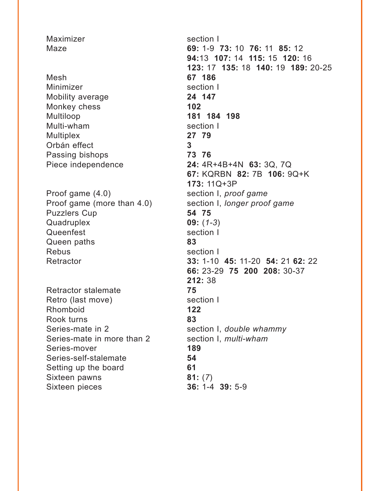Maximizer section I Maze **69:** 1-9 **73:** 10 **76:** 11 **85:** 12 **94:**13 **107:** 14 **115:** 15 **120:** 16 **123:** 17 **135:** 18 **140:** 19 **189:** 20-25 Mesh **67 186** Minimizer section I Mobility average **24 147** Monkey chess **102** Multiloop **181 184 198** Multi-wham section I Multiplex **27 79** Orbán effect **3** Passing bishops **73 76** Piece independence **24:** 4R+4B+4N **63:** 3Q, 7Q **67:** KQRBN **82:** 7B **106:** 9Q+K **173:** 11Q+3P Proof game  $(4.0)$  section I, *proof game* Proof game (more than 4.0) section I, *longer proof game* Puzzlers Cup **54 75** Quadruplex **09:** (*1-3*) Queenfest section I Queen paths **83** Rebus section I Retractor **33:** 1-10 **45:** 11-20 **54:** 21 **62:** 22 **66:** 23-29 **75 200 208:** 30-37 **212:** 38 Retractor stalemate **75** Retro (last move) section I Rhomboid **122** Rook turns **83** Series-mate in 2 section I, *double whammy* Series-mate in more than 2 section I, *multi-wham* Series-mover **189** Series-self-stalemate **54** Setting up the board **61** Sixteen pawns **81:** (*7*) Sixteen pieces **36:** 1-4 **39:** 5-9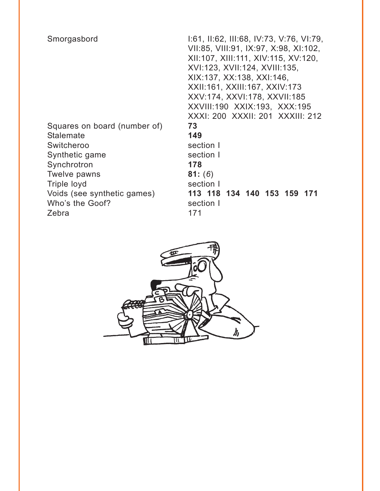| Smorgasbord                  | 1:61, II:62, III:68, IV:73, V:76, VI:79,<br>VII:85, VIII:91, IX:97, X:98, XI:102,<br>XII:107, XIII:111, XIV:115, XV:120,<br>XVI:123, XVII:124, XVIII:135,<br>XIX:137, XX:138, XXI:146,<br>XXII:161, XXIII:167, XXIV:173 |
|------------------------------|-------------------------------------------------------------------------------------------------------------------------------------------------------------------------------------------------------------------------|
|                              | XXV:174, XXVI:178, XXVII:185                                                                                                                                                                                            |
|                              | XXVIII:190 XXIX:193, XXX:195                                                                                                                                                                                            |
|                              | XXXI: 200 XXXII: 201 XXXIII: 212                                                                                                                                                                                        |
| Squares on board (number of) | 73                                                                                                                                                                                                                      |
| <b>Stalemate</b>             | 149                                                                                                                                                                                                                     |
| Switcheroo                   | section I                                                                                                                                                                                                               |
| Synthetic game               | section I                                                                                                                                                                                                               |
| Synchrotron                  | 178                                                                                                                                                                                                                     |
| Twelve pawns                 | 81: (6)                                                                                                                                                                                                                 |
| Triple loyd                  | section I                                                                                                                                                                                                               |
| Voids (see synthetic games)  | 113 118 134 140 153 159 171                                                                                                                                                                                             |
| Who's the Goof?              | section I                                                                                                                                                                                                               |
| Zebra                        | 171                                                                                                                                                                                                                     |

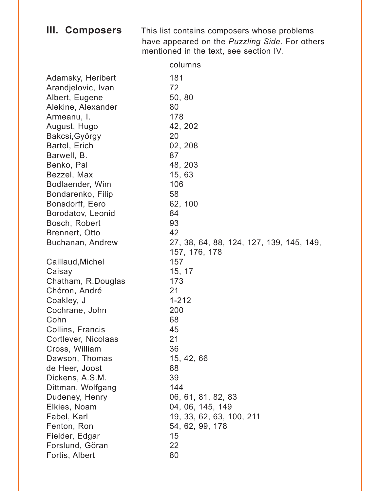|  | III. Composers | This list contains composers whose problems            |
|--|----------------|--------------------------------------------------------|
|  |                | have appeared on the <i>Puzzling Side</i> . For others |
|  |                | mentioned in the text, see section IV.                 |

|                     | columns                                  |
|---------------------|------------------------------------------|
| Adamsky, Heribert   | 181                                      |
| Arandjelovic, Ivan  | 72                                       |
| Albert, Eugene      | 50, 80                                   |
| Alekine, Alexander  | 80                                       |
| Armeanu, I.         | 178                                      |
| August, Hugo        | 42, 202                                  |
| Bakcsi, György      | 20                                       |
| Bartel, Erich       | 02, 208                                  |
| Barwell, B.         | 87                                       |
| Benko, Pal          | 48, 203                                  |
| Bezzel, Max         | 15, 63                                   |
| Bodlaender, Wim     | 106                                      |
| Bondarenko, Filip   | 58                                       |
| Bonsdorff, Eero     | 62, 100                                  |
| Borodatov, Leonid   | 84                                       |
| Bosch, Robert       | 93                                       |
| Brennert, Otto      | 42                                       |
| Buchanan, Andrew    | 27, 38, 64, 88, 124, 127, 139, 145, 149, |
|                     | 157, 176, 178                            |
| Caillaud, Michel    | 157                                      |
| Caisay              | 15, 17                                   |
| Chatham, R.Douglas  | 173                                      |
| Chéron, André       | 21                                       |
| Coakley, J          | $1 - 212$                                |
| Cochrane, John      | 200                                      |
| Cohn                | 68                                       |
| Collins, Francis    | 45                                       |
| Cortlever, Nicolaas | 21                                       |
| Cross, William      | 36                                       |
| Dawson, Thomas      | 15, 42, 66                               |
| de Heer, Joost      | 88                                       |
| Dickens, A.S.M.     | 39                                       |
| Dittman, Wolfgang   | 144                                      |
| Dudeney, Henry      | 06, 61, 81, 82, 83                       |
| Elkies, Noam        | 04, 06, 145, 149                         |
| Fabel, Karl         | 19, 33, 62, 63, 100, 211                 |
| Fenton, Ron         | 54, 62, 99, 178                          |
| Fielder, Edgar      | 15                                       |
| Forslund, Göran     | 22                                       |
| Fortis, Albert      | 80                                       |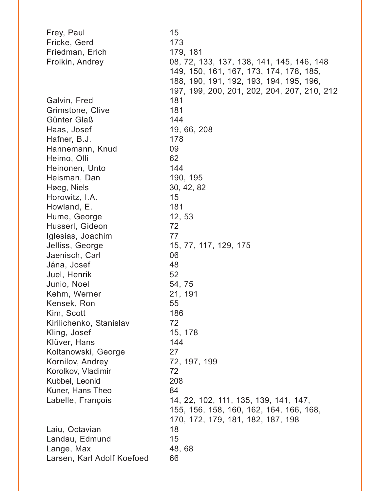| Frey, Paul                 | 15                                          |
|----------------------------|---------------------------------------------|
| Fricke, Gerd               | 173                                         |
| Friedman, Erich            | 179, 181                                    |
| Frolkin, Andrey            | 08, 72, 133, 137, 138, 141, 145, 146, 148   |
|                            | 149, 150, 161, 167, 173, 174, 178, 185,     |
|                            | 188, 190, 191, 192, 193, 194, 195, 196,     |
|                            | 197, 199, 200, 201, 202, 204, 207, 210, 212 |
| Galvin, Fred               | 181                                         |
| Grimstone, Clive           | 181                                         |
| Günter Glaß                | 144                                         |
| Haas, Josef                | 19, 66, 208                                 |
| Hafner, B.J.               | 178                                         |
| Hannemann, Knud            | 09                                          |
| Heimo, Olli                | 62                                          |
| Heinonen, Unto             | 144                                         |
| Heisman, Dan               | 190, 195                                    |
| Høeg, Niels                | 30, 42, 82                                  |
| Horowitz, I.A.             | 15                                          |
| Howland, E.                | 181                                         |
| Hume, George               | 12, 53                                      |
| Husserl, Gideon            | 72                                          |
| Iglesias, Joachim          | 77                                          |
| Jelliss, George            | 15, 77, 117, 129, 175                       |
| Jaenisch, Carl             | 06                                          |
| Jána, Josef                | 48                                          |
| Juel, Henrik               | 52                                          |
| Junio, Noel                | 54, 75                                      |
| Kehm, Werner               | 21, 191                                     |
| Kensek, Ron                | 55                                          |
| Kim, Scott                 | 186                                         |
| Kirilichenko, Stanislav    | 72                                          |
| Kling, Josef               | 15, 178                                     |
| Klüver, Hans               | 144                                         |
| Koltanowski, George        | 27                                          |
| Kornilov, Andrey           | 72, 197, 199                                |
| Korolkov, Vladimir         | 72                                          |
| Kubbel, Leonid             | 208                                         |
| Kuner, Hans Theo           | 84                                          |
| Labelle, François          | 14, 22, 102, 111, 135, 139, 141, 147,       |
|                            | 155, 156, 158, 160, 162, 164, 166, 168,     |
|                            | 170, 172, 179, 181, 182, 187, 198           |
| Laiu, Octavian             | 18                                          |
| Landau, Edmund             | 15                                          |
| Lange, Max                 | 48,68                                       |
| Larsen, Karl Adolf Koefoed | 66                                          |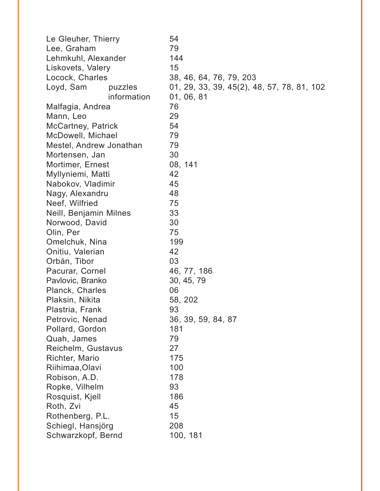| Le Gleuher, Thierry     | 54                                         |
|-------------------------|--------------------------------------------|
| Lee, Graham             | 79                                         |
| Lehmkuhl, Alexander     | 144                                        |
| Liskovets, Valery       | 15                                         |
| Locock, Charles         | 38, 46, 64, 76, 79, 203                    |
| Loyd, Sam<br>puzzles    | 01, 29, 33, 39, 45(2), 48, 57, 78, 81, 102 |
| information             | 01, 06, 81                                 |
| Malfagia, Andrea        | 76                                         |
| Mann, Leo               | 29                                         |
| McCartney, Patrick      | 54                                         |
| McDowell, Michael       | 79                                         |
| Mestel, Andrew Jonathan | 79                                         |
| Mortensen, Jan          | 30                                         |
| Mortimer, Ernest        | 08, 141                                    |
| Myllyniemi, Matti       | 42                                         |
| Nabokov, Vladimir       | 45                                         |
| Nagy, Alexandru         | 48                                         |
| Neef, Wilfried          | 75                                         |
| Neill, Benjamin Milnes  | 33                                         |
| Norwood, David          | 30                                         |
| Olin, Per               | 75                                         |
| Omelchuk, Nina          | 199                                        |
| Onitiu, Valerian        | 42                                         |
| Orbán, Tibor            | 03                                         |
| Pacurar, Cornel         | 46, 77, 186                                |
| Pavlovic, Branko        | 30, 45, 79                                 |
| Planck, Charles         | 06                                         |
| Plaksin, Nikita         | 58, 202                                    |
| Plastria, Frank         | 93                                         |
| Petrovic, Nenad         | 36, 39, 59, 84, 87                         |
| Pollard, Gordon         | 181                                        |
| Quah, James             | 79                                         |
| Reichelm, Gustavus      | 27                                         |
| Richter, Mario          | 175                                        |
| Riihimaa, Olavi         | 100                                        |
| Robison, A.D.           | 178                                        |
| Ropke, Vilhelm          | 93                                         |
| Rosquist, Kjell         | 186                                        |
| Roth, Zvi               | 45                                         |
| Rothenberg, P.L.        | 15                                         |
| Schiegl, Hansjörg       | 208                                        |
| Schwarzkopf, Bernd      | 100, 181                                   |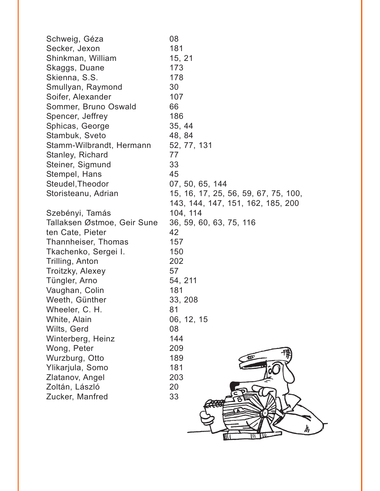| Schweig, Géza               | 08                                   |
|-----------------------------|--------------------------------------|
| Secker, Jexon               | 181                                  |
| Shinkman, William           | 15, 21                               |
| Skaggs, Duane               | 173                                  |
| Skienna, S.S.               | 178                                  |
| Smullyan, Raymond           | 30                                   |
| Soifer, Alexander           | 107                                  |
| Sommer, Bruno Oswald        | 66                                   |
| Spencer, Jeffrey            | 186                                  |
| Sphicas, George             | 35, 44                               |
| Stambuk, Sveto              | 48, 84                               |
| Stamm-Wilbrandt, Hermann    | 52, 77, 131                          |
| Stanley, Richard            | 77                                   |
| Steiner, Sigmund            | 33                                   |
| Stempel, Hans               | 45                                   |
| Steudel, Theodor            | 07, 50, 65, 144                      |
| Storisteanu, Adrian         | 15, 16, 17, 25, 56, 59, 67, 75, 100, |
|                             | 143, 144, 147, 151, 162, 185, 200    |
| Szebényi, Tamás             | 104, 114                             |
| Tallaksen Østmoe, Geir Sune | 36, 59, 60, 63, 75, 116              |
| ten Cate, Pieter            | 42                                   |
| Thannheiser, Thomas         | 157                                  |
| Tkachenko, Sergei I.        | 150                                  |
| Trilling, Anton             | 202                                  |
| Troitzky, Alexey            | 57                                   |
| Tüngler, Arno               | 54, 211                              |
| Vaughan, Colin              | 181                                  |
| Weeth, Günther              | 33, 208                              |
| Wheeler, C. H.              | 81                                   |
| White, Alain                | 06, 12, 15                           |
| Wilts, Gerd                 | 08                                   |
| Winterberg, Heinz           | 144                                  |
| Wong, Peter                 | 209                                  |
| Wurzburg, Otto              | 189                                  |
| Ylikarjula, Somo            | 181                                  |
| Zlatanov, Angel             | 203                                  |
| Zoltán, László              | 20                                   |
| Zucker, Manfred             | 33                                   |
|                             |                                      |
|                             |                                      |
|                             | $\boldsymbol{\mathit{h}}$            |
|                             |                                      |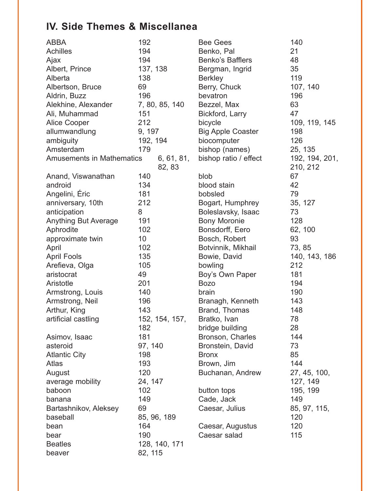## **IV. Side Themes & Miscellanea**

| <b>ABBA</b>                      | 192             | <b>Bee Gees</b>          | 140            |
|----------------------------------|-----------------|--------------------------|----------------|
| <b>Achilles</b>                  | 194             | Benko, Pal               | 21             |
| Ajax                             | 194             | Benko's Bafflers         | 48             |
| Albert, Prince                   | 137, 138        | Bergman, Ingrid          | 35             |
| Alberta                          | 138             | <b>Berkley</b>           | 119            |
| Albertson, Bruce                 | 69              | Berry, Chuck             | 107, 140       |
| Aldrin, Buzz                     | 196             | bevatron                 | 196            |
| Alekhine, Alexander              | 7, 80, 85, 140  | Bezzel, Max              | 63             |
| Ali, Muhammad                    | 151             | Bickford, Larry          | 47             |
| <b>Alice Cooper</b>              | 212             | bicycle                  | 109, 119, 145  |
| allumwandlung                    | 9, 197          | <b>Big Apple Coaster</b> | 198            |
| ambiguity                        | 192, 194        | biocomputer              | 126            |
| Amsterdam                        | 179             | bishop (names)           | 25, 135        |
| <b>Amusements in Mathematics</b> | 6, 61, 81,      | bishop ratio / effect    | 192, 194, 201, |
|                                  | 82, 83          |                          | 210, 212       |
| Anand, Viswanathan               | 140             | blob                     | 67             |
| android                          | 134             | blood stain              | 42             |
| Angelini, Éric                   | 181             | bobsled                  | 79             |
| anniversary, 10th                | 212             | Bogart, Humphrey         | 35, 127        |
| anticipation                     | 8               | Boleslavsky, Isaac       | 73             |
| <b>Anything But Average</b>      | 191             | <b>Bony Moronie</b>      | 128            |
| Aphrodite                        | 102             | Bonsdorff, Eero          | 62, 100        |
| approximate twin                 | 10 <sup>°</sup> | Bosch, Robert            | 93             |
| April                            | 102             | Botvinnik, Mikhail       | 73, 85         |
| <b>April Fools</b>               | 135             | Bowie, David             | 140, 143, 186  |
| Arefieva, Olga                   | 105             | bowling                  | 212            |
| aristocrat                       | 49              | Boy's Own Paper          | 181            |
| Aristotle                        | 201             | <b>Bozo</b>              | 194            |
| Armstrong, Louis                 | 140             | brain                    | 190            |
| Armstrong, Neil                  | 196             | Branagh, Kenneth         | 143            |
| Arthur, King                     | 143             | Brand, Thomas            | 148            |
| artificial castling              | 152, 154, 157,  | Bratko, Ivan             | 78             |
|                                  | 182             | bridge building          | 28             |
| Asimov, Isaac                    | 181             | Bronson, Charles         | 144            |
| asteroid                         | 97, 140         | Bronstein, David         | 73             |
| <b>Atlantic City</b>             | 198             | <b>Bronx</b>             | 85             |
| <b>Atlas</b>                     | 193             | Brown, Jim               | 144            |
| August                           | 120             | Buchanan, Andrew         | 27, 45, 100,   |
| average mobility                 | 24, 147         |                          | 127, 149       |
| baboon                           | 102             | button tops              | 195, 199       |
| banana                           | 149             | Cade, Jack               | 149            |
| Bartashnikov, Aleksey            | 69              | Caesar, Julius           | 85, 97, 115,   |
| baseball                         | 85, 96, 189     |                          | 120            |
| bean                             | 164             | Caesar, Augustus         | 120            |
| bear                             | 190             | Caesar salad             | 115            |
| <b>Beatles</b>                   | 128, 140, 171   |                          |                |
| beaver                           | 82, 115         |                          |                |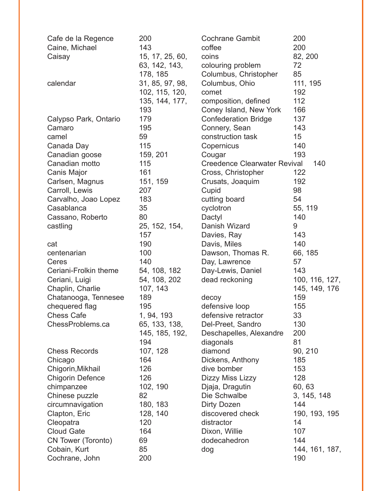| Cafe de la Regence      | 200             | <b>Cochrane Gambit</b>              | 200            |
|-------------------------|-----------------|-------------------------------------|----------------|
| Caine, Michael          | 143             | coffee                              | 200            |
| Caisay                  | 15, 17, 25, 60, | coins                               | 82, 200        |
|                         | 63, 142, 143,   | colouring problem                   | 72             |
|                         | 178, 185        | Columbus, Christopher               | 85             |
| calendar                | 31, 85, 97, 98, | Columbus, Ohio                      | 111, 195       |
|                         | 102, 115, 120,  | comet                               | 192            |
|                         | 135, 144, 177,  | composition, defined                | 112            |
|                         | 193             | Coney Island, New York              | 166            |
| Calypso Park, Ontario   | 179             | <b>Confederation Bridge</b>         | 137            |
| Camaro                  | 195             | Connery, Sean                       | 143            |
| camel                   | 59              | construction task                   | 15             |
| Canada Day              | 115             | Copernicus                          | 140            |
| Canadian goose          | 159, 201        | Cougar                              | 193            |
| Canadian motto          | 115             | <b>Creedence Clearwater Revival</b> | 140            |
| Canis Major             | 161             | Cross, Christopher                  | 122            |
| Carlsen, Magnus         | 151, 159        | Crusats, Joaquim                    | 192            |
| Carroll, Lewis          | 207             | Cupid                               | 98             |
| Carvalho, Joao Lopez    | 183             | cutting board                       | 54             |
| Casablanca              | 35              | cyclotron                           | 55, 119        |
| Cassano, Roberto        | 80              | Dactyl                              | 140            |
| castling                | 25, 152, 154,   | Danish Wizard                       | 9              |
|                         | 157             | Davies, Ray                         | 143            |
| cat                     | 190             | Davis, Miles                        | 140            |
| centenarian             | 100             | Dawson, Thomas R.                   | 66, 185        |
| Ceres                   | 140             | Day, Lawrence                       | 57             |
| Ceriani-Frolkin theme   | 54, 108, 182    | Day-Lewis, Daniel                   | 143            |
| Ceriani, Luigi          | 54, 108, 202    | dead reckoning                      | 100, 116, 127, |
| Chaplin, Charlie        | 107, 143        |                                     | 145, 149, 176  |
| Chatanooga, Tennesee    | 189             | decoy                               | 159            |
| chequered flag          | 195             | defensive loop                      | 155            |
| <b>Chess Cafe</b>       | 1, 94, 193      | defensive retractor                 | 33             |
| ChessProblems.ca        | 65, 133, 138,   | Del-Preet, Sandro                   | 130            |
|                         | 145, 185, 192,  | Deschapelles, Alexandre             | 200            |
|                         | 194             | diagonals                           | 81             |
| <b>Chess Records</b>    | 107, 128        | diamond                             | 90, 210        |
| Chicago                 | 164             | Dickens, Anthony                    | 185            |
| Chigorin, Mikhail       | 126             | dive bomber                         | 153            |
| <b>Chigorin Defence</b> | 126             | Dizzy Miss Lizzy                    | 128            |
| chimpanzee              | 102, 190        | Djaja, Dragutin                     | 60, 63         |
| Chinese puzzle          | 82              | Die Schwalbe                        | 3, 145, 148    |
| circumnavigation        | 180, 183        | Dirty Dozen                         | 144            |
| Clapton, Eric           | 128, 140        | discovered check                    | 190, 193, 195  |
| Cleopatra               | 120             | distractor                          | 14             |
| <b>Cloud Gate</b>       | 164             | Dixon, Willie                       | 107            |
| CN Tower (Toronto)      | 69              | dodecahedron                        | 144            |
| Cobain, Kurt            | 85              | dog                                 | 144, 161, 187, |
| Cochrane, John          | 200             |                                     | 190            |
|                         |                 |                                     |                |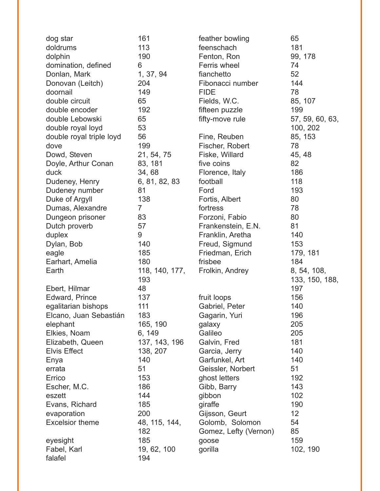| dog star                 | 161                   | feather bowling            | 65                            |
|--------------------------|-----------------------|----------------------------|-------------------------------|
| doldrums                 | 113                   | feenschach                 | 181                           |
| dolphin                  | 190                   | Fenton, Ron                | 99, 178                       |
| domination, defined      | 6                     | Ferris wheel               | 74                            |
| Donlan, Mark             | 1, 37, 94             | fianchetto                 | 52                            |
| Donovan (Leitch)         | 204                   | Fibonacci number           | 144                           |
| doornail                 | 149                   | <b>FIDE</b>                | 78                            |
| double circuit           | 65                    | Fields, W.C.               | 85, 107                       |
| double encoder           | 192                   | fifteen puzzle             | 199                           |
| double Lebowski          | 65                    | fifty-move rule            | 57, 59, 60, 63,               |
| double royal loyd        | 53                    |                            | 100, 202                      |
| double royal triple loyd | 56                    | Fine, Reuben               | 85, 153                       |
| dove                     | 199                   | Fischer, Robert            | 78                            |
| Dowd, Steven             | 21, 54, 75            | Fiske, Willard             | 45, 48                        |
| Doyle, Arthur Conan      | 83, 181               | five coins                 | 82                            |
| duck                     | 34,68                 | Florence, Italy            | 186                           |
| Dudeney, Henry           | 6, 81, 82, 83         | football                   | 118                           |
| Dudeney number           | 81                    | Ford                       | 193                           |
| Duke of Argyll           | 138                   | Fortis, Albert             | 80                            |
| Dumas, Alexandre         | $\overline{7}$        | fortress                   | 78                            |
| Dungeon prisoner         | 83                    | Forzoni, Fabio             | 80                            |
| Dutch proverb            | 57                    | Frankenstein, E.N.         | 81                            |
| duplex                   | 9                     | Franklin, Aretha           | 140                           |
| Dylan, Bob               | 140                   |                            | 153                           |
|                          | 185                   | Freud, Sigmund             |                               |
| eagle                    | 180                   | Friedman, Erich<br>frisbee | 179, 181<br>184               |
| Earhart, Amelia          |                       |                            |                               |
| Earth                    | 118, 140, 177,<br>193 | Frolkin, Andrey            | 8, 54, 108,<br>133, 150, 188, |
| Ebert, Hilmar            | 48                    |                            | 197                           |
| Edward, Prince           | 137                   | fruit loops                | 156                           |
| egalitarian bishops      | 111                   | Gabriel, Peter             | 140                           |
| Elcano, Juan Sebastián   | 183                   | Gagarin, Yuri              | 196                           |
| elephant                 | 165, 190              | galaxy                     | 205                           |
| Elkies, Noam             | 6, 149                | Galileo                    | 205                           |
| Elizabeth, Queen         | 137, 143, 196         | Galvin, Fred               | 181                           |
| <b>Elvis Effect</b>      | 138, 207              | Garcia, Jerry              | 140                           |
| Enya                     | 140                   | Garfunkel, Art             | 140                           |
| errata                   | 51                    | Geissler, Norbert          | 51                            |
| Errico                   | 153                   | ghost letters              | 192                           |
| Escher, M.C.             | 186                   | Gibb, Barry                | 143                           |
| eszett                   | 144                   | gibbon                     | 102                           |
| Evans, Richard           | 185                   | giraffe                    | 190                           |
| evaporation              | 200                   | Gijsson, Geurt             | 12                            |
| <b>Excelsior theme</b>   | 48, 115, 144,         | Golomb, Solomon            | 54                            |
|                          | 182                   | Gomez, Lefty (Vernon)      | 85                            |
| eyesight                 | 185                   | goose                      | 159                           |
| Fabel, Karl              | 19, 62, 100           | gorilla                    | 102, 190                      |
| falafel                  | 194                   |                            |                               |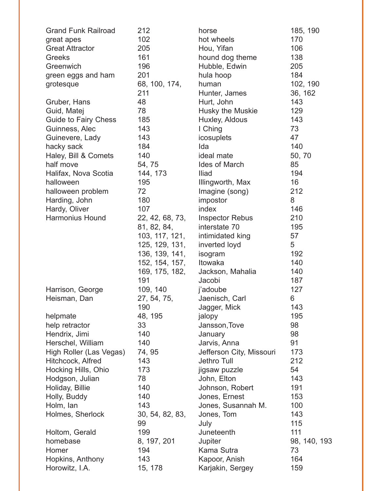| <b>Grand Funk Railroad</b> | 212             | horse                    | 185, 190     |
|----------------------------|-----------------|--------------------------|--------------|
| great apes                 | 102             | hot wheels               | 170          |
| <b>Great Attractor</b>     | 205             | Hou, Yifan               | 106          |
| <b>Greeks</b>              | 161             | hound dog theme          | 138          |
| Greenwich                  | 196             | Hubble, Edwin            | 205          |
| green eggs and ham         | 201             | hula hoop                | 184          |
| grotesque                  | 68, 100, 174,   | human                    | 102, 190     |
|                            | 211             | Hunter, James            | 36, 162      |
| Gruber, Hans               | 48              | Hurt, John               | 143          |
| Guid, Matej                | 78              | Husky the Muskie         | 129          |
| Guide to Fairy Chess       | 185             | Huxley, Aldous           | 143          |
| Guinness, Alec             | 143             | I Ching                  | 73           |
| Guinevere, Lady            | 143             | icosuplets               | 47           |
| hacky sack                 | 184             | Ida                      | 140          |
| Haley, Bill & Comets       | 140             | ideal mate               | 50, 70       |
| half move                  | 54, 75          | Ides of March            | 85           |
| Halifax, Nova Scotia       | 144, 173        | Iliad                    | 194          |
| halloween                  | 195             | Illingworth, Max         | 16           |
| halloween problem          | 72              | Imagine (song)           | 212          |
| Harding, John              | 180             | impostor                 | 8            |
| Hardy, Oliver              | 107             | index                    | 146          |
| <b>Harmonius Hound</b>     | 22, 42, 68, 73, | <b>Inspector Rebus</b>   | 210          |
|                            | 81, 82, 84,     | interstate 70            | 195          |
|                            | 103, 117, 121,  | intimidated king         | 57           |
|                            | 125, 129, 131,  | inverted loyd            | 5            |
|                            | 136, 139, 141,  | isogram                  | 192          |
|                            | 152, 154, 157,  | Itowaka                  | 140          |
|                            | 169, 175, 182,  | Jackson, Mahalia         | 140          |
|                            | 191             | Jacobi                   | 187          |
| Harrison, George           | 109, 140        | j'adoube                 | 127          |
| Heisman, Dan               | 27, 54, 75,     | Jaenisch, Carl           | 6            |
|                            | 190             | Jagger, Mick             | 143          |
| helpmate                   | 48, 195         | jalopy                   | 195          |
| help retractor             | 33              | Jansson, Tove            | 98           |
| Hendrix, Jimi              | 140             | January                  | 98           |
| Herschel, William          | 140             | Jarvis, Anna             | 91           |
| High Roller (Las Vegas)    | 74, 95          | Jefferson City, Missouri | 173          |
| Hitchcock, Alfred          | 143             | Jethro Tull              | 212          |
| Hocking Hills, Ohio        | 173             | jigsaw puzzle            | 54           |
| Hodgson, Julian            | 78              | John, Elton              | 143          |
| Holiday, Billie            | 140             | Johnson, Robert          | 191          |
| Holly, Buddy               | 140             | Jones, Ernest            | 153          |
| Holm, lan                  | 143             | Jones, Susannah M.       | 100          |
| Holmes, Sherlock           | 30, 54, 82, 83, | Jones, Tom               | 143          |
|                            | 99              | July                     | 115          |
| Holtom, Gerald             | 199             | Juneteenth               | 111          |
| homebase                   | 8, 197, 201     | Jupiter                  | 98, 140, 193 |
| Homer                      | 194             | Kama Sutra               | 73           |
| Hopkins, Anthony           | 143             | Kapoor, Anish            | 164          |
| Horowitz, I.A.             | 15, 178         | Karjakin, Sergey         | 159          |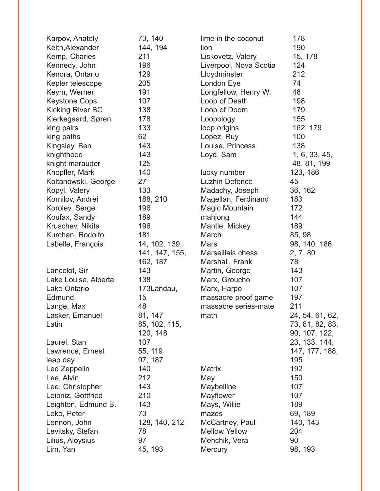| Karpov, Anatoly         | 73, 140        | lime in the coconut    | 178             |
|-------------------------|----------------|------------------------|-----------------|
| Keith, Alexander        | 144, 194       | lion                   | 190             |
| Kemp, Charles           | 211            | Liskovetz, Valery      | 15, 178         |
| Kennedy, John           | 196            | Liverpool, Nova Scotia | 124             |
| Kenora, Ontario         | 129            | Lloydminster           | 212             |
| Kepler telescope        | 205            | London Eye             | 74              |
| Keym, Werner            | 191            | Longfellow, Henry W.   | 48              |
| <b>Keystone Cops</b>    | 107            | Loop of Death          | 198             |
| <b>Kicking River BC</b> | 138            | Loop of Doom           | 179             |
| Kierkegaard, Søren      | 178            | Loopology              | 155             |
| king pairs              | 133            | loop origins           | 162, 179        |
| king paths              | 62             | Lopez, Ruy             | 100             |
| Kingsley, Ben           | 143            | Louise, Princess       | 138             |
| knighthood              | 143            | Loyd, Sam              | 1, 6, 33, 45,   |
| knight marauder         | 125            |                        | 48, 81, 199     |
| Knopfler, Mark          | 140            | lucky number           | 123, 186        |
| Koltanowski, George     | 27             | Luzhin Defence         | 45              |
| Kopyl, Valery           | 133            | Madachy, Joseph        | 36, 162         |
| Kornilov, Andrei        | 188, 210       | Magellan, Ferdinand    | 183             |
| Korolev, Sergei         | 196            | Magic Mountain         | 172             |
| Koufax, Sandy           | 189            | mahjong                | 144             |
| Kruschev, Nikita        | 196            | Mantle, Mickey         | 189             |
| Kurchan, Rodolfo        | 181            | March                  | 85, 98          |
| Labelle, François       | 14, 102, 139,  | <b>Mars</b>            | 98, 140, 186    |
|                         | 141, 147, 155, | Marseillais chess      | 2, 7, 80        |
|                         | 162, 187       | Marshall, Frank        | 78              |
| Lancelot, Sir           | 143            | Martin, George         | 143             |
| Lake Louise, Alberta    | 138            | Marx, Groucho          | 107             |
| Lake Ontario            | 173Landau,     | Marx, Harpo            | 107             |
| Edmund                  | 15             | massacre proof game    | 197             |
| Lange, Max              | 48             | massacre series-mate   | 211             |
| Lasker, Emanuel         | 81, 147        | math                   | 24, 54, 61, 62, |
| Latin                   | 85, 102, 115,  |                        | 73, 81, 82, 83, |
|                         | 120, 148       |                        | 90, 107, 122,   |
| Laurel, Stan            | 107            |                        | 23, 133, 144,   |
| Lawrence, Ernest        | 55, 119        |                        | 147, 177, 188,  |
| leap day                | 97, 187        |                        | 195             |
| Led Zeppelin            | 140            | <b>Matrix</b>          | 192             |
| Lee, Alvin              | 212            | May                    | 150             |
| Lee, Christopher        | 143            | Maybelline             | 107             |
| Leibniz, Gottfried      | 210            | Mayflower              | 107             |
| Leighton, Edmund B.     | 143            | Mays, Willie           | 189             |
| Leko, Peter             | 73             | mazes                  | 69, 189         |
| Lennon, John            | 128, 140, 212  | McCartney, Paul        | 140, 143        |
| Levitsky, Stefan        | 78             | <b>Mellow Yellow</b>   | 204             |
| Lilius, Aloysius        | 97             | Menchik, Vera          | 90              |
| Lim, Yan                | 45, 193        | <b>Mercury</b>         | 98, 193         |
|                         |                |                        |                 |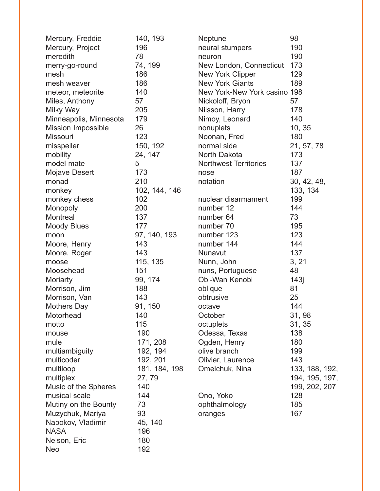| Mercury, Freddie          | 140, 193      | Neptune                      | 98             |
|---------------------------|---------------|------------------------------|----------------|
| Mercury, Project          | 196           | neural stumpers              | 190            |
| meredith                  | 78            | neuron                       | 190            |
| merry-go-round            | 74, 199       | New London, Connecticut      | 173            |
| mesh                      | 186           | New York Clipper             | 129            |
| mesh weaver               | 186           | <b>New York Giants</b>       | 189            |
| meteor, meteorite         | 140           | New York-New York casino 198 |                |
| Miles, Anthony            | 57            | Nickoloff, Bryon             | 57             |
| Milky Way                 | 205           | Nilsson, Harry               | 178            |
| Minneapolis, Minnesota    | 179           | Nimoy, Leonard               | 140            |
| <b>Mission Impossible</b> | 26            | nonuplets                    | 10, 35         |
| <b>Missouri</b>           | 123           | Noonan, Fred                 | 180            |
| misspeller                | 150, 192      | normal side                  | 21, 57, 78     |
| mobility                  | 24, 147       | North Dakota                 | 173            |
| model mate                | 5             | <b>Northwest Territories</b> | 137            |
| Mojave Desert             | 173           | nose                         | 187            |
| monad                     | 210           | notation                     | 30, 42, 48,    |
| monkey                    | 102, 144, 146 |                              | 133, 134       |
| monkey chess              | 102           | nuclear disarmament          | 199            |
| Monopoly                  | 200           | number 12                    | 144            |
| Montreal                  | 137           | number 64                    | 73             |
| <b>Moody Blues</b>        | 177           | number 70                    | 195            |
| moon                      | 97, 140, 193  | number 123                   | 123            |
| Moore, Henry              | 143           | number 144                   | 144            |
| Moore, Roger              | 143           | Nunavut                      | 137            |
| moose                     | 115, 135      | Nunn, John                   | 3, 21          |
| Moosehead                 | 151           | nuns, Portuguese             | 48             |
| Moriarty                  | 99, 174       | Obi-Wan Kenobi               | 143j           |
| Morrison, Jim             | 188           | oblique                      | 81             |
| Morrison, Van             | 143           | obtrusive                    | 25             |
| <b>Mothers Day</b>        | 91, 150       | octave                       | 144            |
| Motorhead                 | 140           | October                      | 31, 98         |
| motto                     | 115           | octuplets                    | 31, 35         |
| mouse                     | 190           | Odessa, Texas                | 138            |
| mule                      | 171, 208      | Ogden, Henry                 | 180            |
| multiambiguity            | 192, 194      | olive branch                 | 199            |
| multicoder                | 192, 201      | Olivier, Laurence            | 143            |
| multiloop                 | 181, 184, 198 | Omelchuk, Nina               | 133, 188, 192, |
| multiplex                 | 27, 79        |                              | 194, 195, 197, |
| Music of the Spheres      | 140           |                              | 199, 202, 207  |
| musical scale             | 144           | Ono, Yoko                    | 128            |
| Mutiny on the Bounty      | 73            | ophthalmology                | 185            |
| Muzychuk, Mariya          | 93            | oranges                      | 167            |
| Nabokov, Vladimir         | 45, 140       |                              |                |
| <b>NASA</b>               | 196           |                              |                |
| Nelson, Eric              | 180           |                              |                |
| <b>Neo</b>                | 192           |                              |                |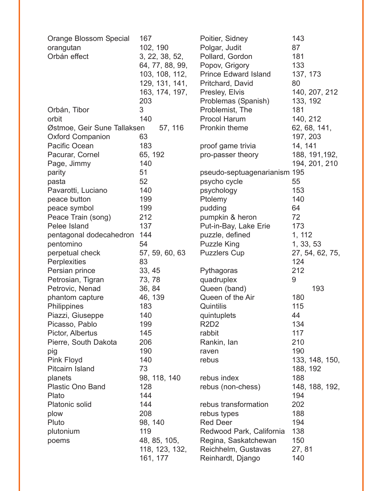| <b>Orange Blossom Special</b> | 167             | Poitier, Sidney               | 143             |
|-------------------------------|-----------------|-------------------------------|-----------------|
| orangutan                     | 102, 190        | Polgar, Judit                 | 87              |
| Orbán effect                  | 3, 22, 38, 52,  | Pollard, Gordon               | 181             |
|                               | 64, 77, 88, 99, | Popov, Grigory                | 133             |
|                               | 103, 108, 112,  | <b>Prince Edward Island</b>   | 137, 173        |
|                               | 129, 131, 141,  | Pritchard, David              | 80              |
|                               | 163, 174, 197,  | Presley, Elvis                | 140, 207, 212   |
|                               | 203             | Problemas (Spanish)           | 133, 192        |
| Orbán, Tibor                  | 3               | Problemist, The               | 181             |
| orbit                         | 140             | <b>Procol Harum</b>           | 140, 212        |
| Østmoe, Geir Sune Tallaksen   | 57, 116         | Pronkin theme                 | 62, 68, 141,    |
| <b>Oxford Companion</b>       | 63              |                               | 197, 203        |
| Pacific Ocean                 | 183             | proof game trivia             | 14, 141         |
| Pacurar, Cornel               | 65, 192         | pro-passer theory             | 188, 191, 192,  |
| Page, Jimmy                   | 140             |                               | 194, 201, 210   |
| parity                        | 51              | pseudo-septuagenarianism 195  |                 |
| pasta                         | 52              | psycho cycle                  | 55              |
| Pavarotti, Luciano            | 140             | psychology                    | 153             |
| peace button                  | 199             | Ptolemy                       | 140             |
| peace symbol                  | 199             | pudding                       | 64              |
| Peace Train (song)            | 212             | pumpkin & heron               | 72              |
| Pelee Island                  | 137             | Put-in-Bay, Lake Erie         | 173             |
| pentagonal dodecahedron       | 144             | puzzle, defined               | 1, 112          |
| pentomino                     | 54              | <b>Puzzle King</b>            | 1, 33, 53       |
| perpetual check               | 57, 59, 60, 63  | <b>Puzzlers Cup</b>           | 27, 54, 62, 75, |
| Perplexities                  | 83              |                               | 124             |
| Persian prince                | 33, 45          | Pythagoras                    | 212             |
| Petrosian, Tigran             | 73, 78          | quadruplex                    | 9               |
| Petrovic, Nenad               | 36, 84          | Queen (band)                  | 193             |
| phantom capture               | 46, 139         | Queen of the Air              | 180             |
| Philippines                   | 183             | Quintilis                     | 115             |
| Piazzi, Giuseppe              | 140             | quintuplets                   | 44              |
| Picasso, Pablo                | 199             | R <sub>2</sub> D <sub>2</sub> | 134             |
| Pictor, Albertus              | 145             | rabbit                        | 117             |
| Pierre, South Dakota          | 206             | Rankin, lan                   | 210             |
| pig                           | 190             | raven                         | 190             |
| <b>Pink Floyd</b>             | 140             | rebus                         | 133, 148, 150,  |
| <b>Pitcairn Island</b>        | 73              |                               | 188, 192        |
| planets                       | 98, 118, 140    | rebus index                   | 188             |
| <b>Plastic Ono Band</b>       | 128             | rebus (non-chess)             | 148, 188, 192,  |
| Plato                         | 144             |                               | 194             |
| Platonic solid                | 144             | rebus transformation          | 202             |
| plow                          | 208             | rebus types                   | 188             |
| Pluto                         | 98, 140         | <b>Red Deer</b>               | 194             |
| plutonium                     | 119             | Redwood Park, California      | 138             |
| poems                         | 48, 85, 105,    | Regina, Saskatchewan          | 150             |
|                               | 118, 123, 132,  | Reichhelm, Gustavas           | 27, 81          |
|                               | 161, 177        | Reinhardt, Django             | 140             |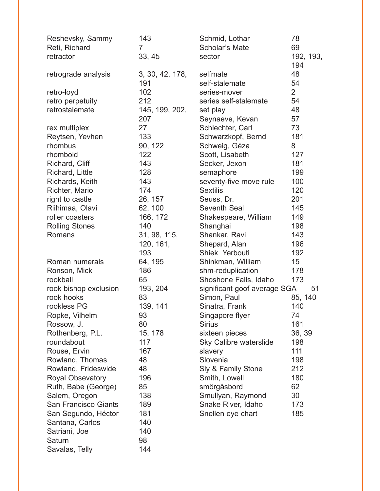| Reshevsky, Sammy        | 143             | Schmid, Lothar                | 78             |
|-------------------------|-----------------|-------------------------------|----------------|
| Reti, Richard           | $\overline{7}$  | <b>Scholar's Mate</b>         | 69             |
| retractor               | 33, 45          | sector                        | 192, 193,      |
|                         |                 |                               | 194            |
| retrograde analysis     | 3, 30, 42, 178, | selfmate                      | 48             |
|                         | 191             | self-stalemate                | 54             |
| retro-loyd              | 102             | series-mover                  | $\overline{2}$ |
| retro perpetuity        | 212             | series self-stalemate         | 54             |
| retrostalemate          | 145, 199, 202,  | set play                      | 48             |
|                         | 207             | Seynaeve, Kevan               | 57             |
| rex multiplex           | 27              | Schlechter, Carl              | 73             |
| Reytsen, Yevhen         | 133             | Schwarzkopf, Bernd            | 181            |
| rhombus                 | 90, 122         | Schweig, Géza                 | 8              |
| rhomboid                | 122             | Scott, Lisabeth               | 127            |
| Richard, Cliff          | 143             | Secker, Jexon                 | 181            |
| Richard, Little         | 128             | semaphore                     | 199            |
| Richards, Keith         | 143             | seventy-five move rule        | 100            |
| Richter, Mario          | 174             | <b>Sextilis</b>               | 120            |
| right to castle         | 26, 157         | Seuss, Dr.                    | 201            |
| Riihimaa, Olavi         | 62, 100         | <b>Seventh Seal</b>           | 145            |
| roller coasters         | 166, 172        | Shakespeare, William          | 149            |
| <b>Rolling Stones</b>   | 140             | Shanghai                      | 198            |
| Romans                  | 31, 98, 115,    | Shankar, Ravi                 | 143            |
|                         | 120, 161,       | Shepard, Alan                 | 196            |
|                         | 193             | Shiek Yerbouti                | 192            |
| Roman numerals          | 64, 195         | Shinkman, William             | 15             |
| Ronson, Mick            | 186             | shm-reduplication             | 178            |
| rookball                | 65              | Shoshone Falls, Idaho         | 173            |
| rook bishop exclusion   | 193, 204        | significant goof average SGA  | 51             |
| rook hooks              | 83              | Simon, Paul                   | 85, 140        |
| rookless PG             | 139, 141        | Sinatra, Frank                | 140            |
| Ropke, Vilhelm          | 93              | Singapore flyer               | 74             |
| Rossow, J.              | 80              | <b>Sirius</b>                 | 161            |
| Rothenberg, P.L.        | 15, 178         | sixteen pieces                | 36, 39         |
| roundabout              | 117             | <b>Sky Calibre waterslide</b> | 198            |
| Rouse, Ervin            | 167             | slavery                       | 111            |
| Rowland, Thomas         | 48              | Slovenia                      | 198            |
| Rowland, Frideswide     | 48              | Sly & Family Stone            | 212            |
| <b>Royal Obsevatory</b> | 196             | Smith, Lowell                 | 180            |
| Ruth, Babe (George)     | 85              | smörgåsbord                   | 62             |
| Salem, Oregon           | 138             | Smullyan, Raymond             | 30             |
| San Francisco Giants    | 189             | Snake River, Idaho            | 173            |
| San Segundo, Héctor     | 181             | Snellen eye chart             | 185            |
| Santana, Carlos         | 140             |                               |                |
| Satriani, Joe           | 140             |                               |                |
| Saturn                  | 98              |                               |                |
| Savalas, Telly          | 144             |                               |                |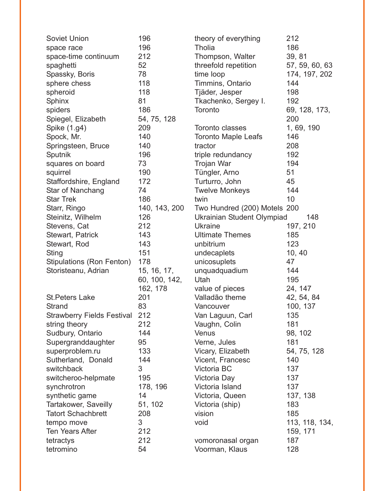| <b>Soviet Union</b>               | 196           | theory of everything         | 212            |
|-----------------------------------|---------------|------------------------------|----------------|
| space race                        | 196           | <b>Tholia</b>                | 186            |
| space-time continuum              | 212           | Thompson, Walter             | 39, 81         |
| spaghetti                         | 52            | threefold repetition         | 57, 59, 60, 63 |
| Spassky, Boris                    | 78            | time loop                    | 174, 197, 202  |
| sphere chess                      | 118           | Timmins, Ontario             | 144            |
| spheroid                          | 118           | Tjäder, Jesper               | 198            |
| Sphinx                            | 81            | Tkachenko, Sergey I.         | 192            |
| spiders                           | 186           | Toronto                      | 69, 128, 173,  |
| Spiegel, Elizabeth                | 54, 75, 128   |                              | 200            |
| Spike (1.g4)                      | 209           | Toronto classes              | 1, 69, 190     |
| Spock, Mr.                        | 140           | <b>Toronto Maple Leafs</b>   | 146            |
| Springsteen, Bruce                | 140           | tractor                      | 208            |
| Sputnik                           | 196           | triple redundancy            | 192            |
| squares on board                  | 73            | Trojan War                   | 194            |
| squirrel                          | 190           | Tüngler, Arno                | 51             |
| Staffordshire, England            | 172           | Turturro, John               | 45             |
| Star of Nanchang                  | 74            | <b>Twelve Monkeys</b>        | 144            |
| <b>Star Trek</b>                  | 186           | twin                         | 10             |
| Starr, Ringo                      | 140, 143, 200 | Two Hundred (200) Motels 200 |                |
| Steinitz, Wilhelm                 | 126           | Ukrainian Student Olympiad   | 148            |
| Stevens, Cat                      | 212           | <b>Ukraine</b>               | 197, 210       |
| Stewart, Patrick                  | 143           | <b>Ultimate Themes</b>       | 185            |
| Stewart, Rod                      | 143           | unbitrium                    | 123            |
| <b>Sting</b>                      | 151           | undecaplets                  | 10, 40         |
| Stipulations (Ron Fenton)         | 178           | unicosuplets                 | 47             |
| Storisteanu, Adrian               | 15, 16, 17,   | unquadquadium                | 144            |
|                                   | 60, 100, 142, | Utah                         | 195            |
|                                   | 162, 178      | value of pieces              | 24, 147        |
| <b>St. Peters Lake</b>            | 201           | Valladão theme               | 42, 54, 84     |
| <b>Strand</b>                     | 83            | Vancouver                    | 100, 137       |
| <b>Strawberry Fields Festival</b> | 212           | Van Laguun, Carl             | 135            |
| string theory                     | 212           | Vaughn, Colin                | 181            |
| Sudbury, Ontario                  | 144           | Venus                        | 98, 102        |
| Supergranddaughter                | 95            | Verne, Jules                 | 181            |
| superproblem.ru                   | 133           | Vicary, Elizabeth            | 54, 75, 128    |
| Sutherland, Donald                | 144           | Vicent, Francesc             | 140            |
| switchback                        | 3             | Victoria BC                  | 137            |
| switcheroo-helpmate               | 195           | Victoria Day                 | 137            |
| synchrotron                       | 178, 196      | Victoria Island              | 137            |
| synthetic game                    | 14            | Victoria, Queen              | 137, 138       |
| Tartakower, Saveilly              | 51, 102       | Victoria (ship)              | 183            |
| <b>Tatort Schachbrett</b>         | 208           | vision                       | 185            |
| tempo move                        | 3             | void                         | 113, 118, 134, |
| Ten Years After                   | 212           |                              | 159, 171       |
| tetractys                         | 212           | vomoronasal organ            | 187            |
| tetromino                         | 54            | Voorman, Klaus               | 128            |